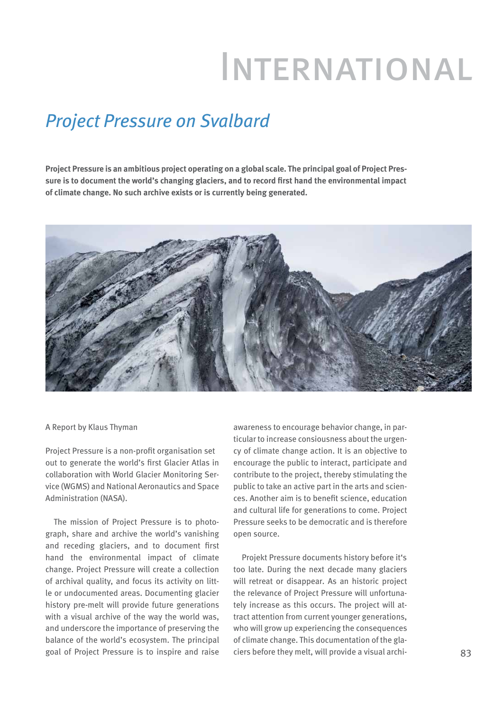## International

## *Project Pressure on Svalbard*

**Project Pressure is an ambitious project operating on a global scale. The principal goal of Project Pressure is to document the world's changing glaciers, and to record first hand the environmental impact of climate change. No such archive exists or is currently being generated.**



## A Report by Klaus Thyman

Project Pressure is a non-profit organisation set out to generate the world's first Glacier Atlas in collaboration with World Glacier Monitoring Service (WGMS) and National Aeronautics and Space Administration (NASA).

The mission of Project Pressure is to photograph, share and archive the world's vanishing and receding glaciers, and to document first hand the environmental impact of climate change. Project Pressure will create a collection of archival quality, and focus its activity on little or undocumented areas. Documenting glacier history pre-melt will provide future generations with a visual archive of the way the world was, and underscore the importance of preserving the balance of the world's ecosystem. The principal goal of Project Pressure is to inspire and raise awareness to encourage behavior change, in particular to increase consiousness about the urgency of climate change action. It is an objective to encourage the public to interact, participate and contribute to the project, thereby stimulating the public to take an active part in the arts and sciences. Another aim is to benefit science, education and cultural life for generations to come. Project Pressure seeks to be democratic and is therefore open source.

Projekt Pressure documents history before it's too late. During the next decade many glaciers will retreat or disappear. As an historic project the relevance of Project Pressure will unfortunately increase as this occurs. The project will attract attention from current younger generations, who will grow up experiencing the consequences of climate change. This documentation of the glaciers before they melt, will provide a visual archi-